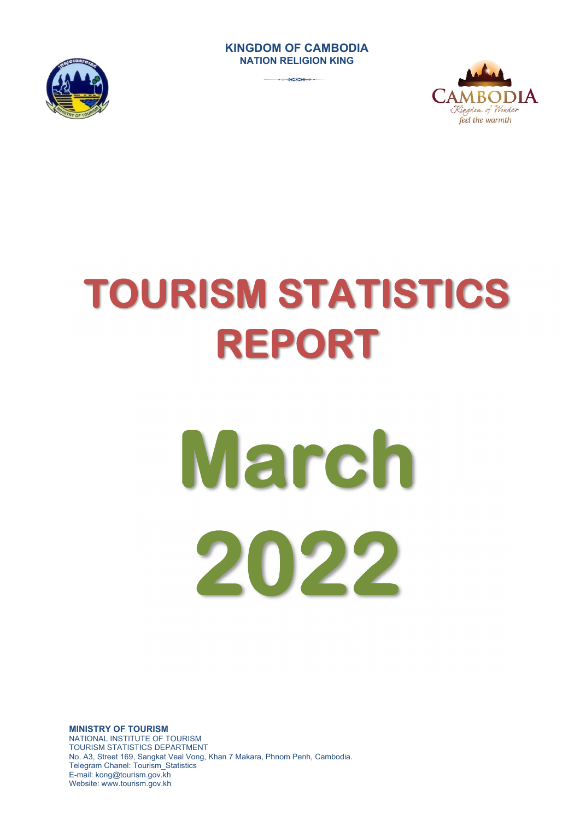### **KINGDOM OF CAMBODIA NATION RELIGION KING**



3



# **TOURISM STATISTICS REPORT**

# **March 2022**

**MINISTRY OF TOURISM**  NATIONAL INSTITUTE OF TOURISM TOURISM STATISTICS DEPARTMENT No. A3, Street 169, Sangkat Veal Vong, Khan 7 Makara, Phnom Penh, Cambodia. Telegram Chanel: Tourism\_Statistics E-mail: kong@tourism.gov.kh Website: www.tourism.gov.kh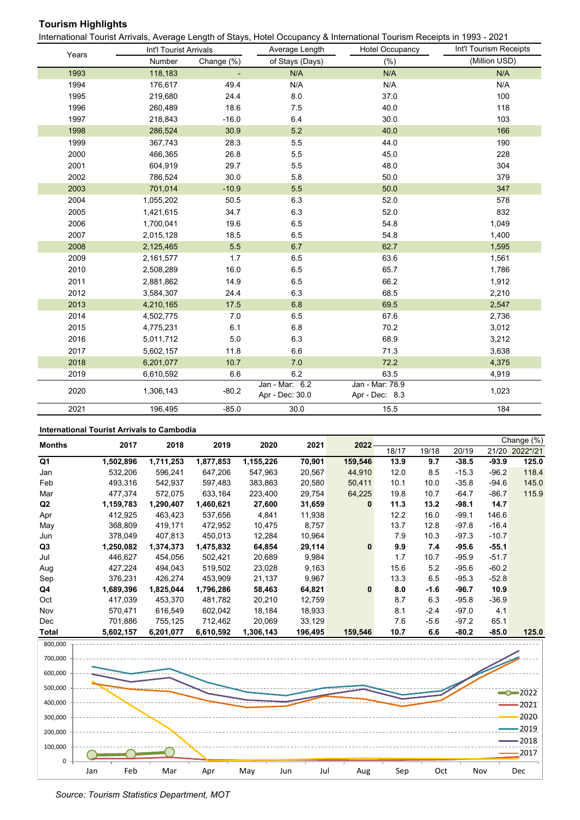# **Tourism Highlights**

International Tourist Arrivals, Average Length of Stays, Hotel Occupancy & International Tourism Receipts in 1993 - 2021

|       | Int'l Tourist Arrivals |            | Average Length                    | <b>Hotel Occupancy</b>            | Int'l Tourism Receipts |
|-------|------------------------|------------|-----------------------------------|-----------------------------------|------------------------|
| Years | Number                 | Change (%) | of Stays (Days)                   | (% )                              | (Million USD)          |
| 1993  | 118,183                |            | N/A                               | N/A                               | N/A                    |
| 1994  | 176,617                | 49.4       | N/A                               | N/A                               | N/A                    |
| 1995  | 219,680                | 24.4       | 8.0                               | 37.0                              | 100                    |
| 1996  | 260,489                | 18.6       | 7.5                               | 40.0                              | 118                    |
| 1997  | 218,843                | $-16.0$    | 6.4                               | 30.0                              | 103                    |
| 1998  | 286,524                | 30.9       | 5.2                               | 40.0                              | 166                    |
| 1999  | 367,743                | 28.3       | 5.5                               | 44.0                              | 190                    |
| 2000  | 466,365                | 26.8       | 5.5                               | 45.0                              | 228                    |
| 2001  | 604,919                | 29.7       | 5.5                               | 48.0                              | 304                    |
| 2002  | 786,524                | 30.0       | 5.8                               | 50.0                              | 379                    |
| 2003  | 701,014                | $-10.9$    | 5.5                               | 50.0                              | 347                    |
| 2004  | 1,055,202              | 50.5       | 6.3                               | 52.0                              | 578                    |
| 2005  | 1,421,615              | 34.7       | 6.3                               | 52.0                              | 832                    |
| 2006  | 1,700,041              | 19.6       | 6.5                               | 54.8                              | 1,049                  |
| 2007  | 2,015,128              | 18.5       | 6.5                               | 54.8                              | 1,400                  |
| 2008  | 2,125,465              | 5.5        | 6.7                               | 62.7                              | 1,595                  |
| 2009  | 2,161,577              | 1.7        | 6.5                               | 63.6                              | 1,561                  |
| 2010  | 2,508,289              | 16.0       | 6.5                               | 65.7                              | 1,786                  |
| 2011  | 2,881,862              | 14.9       | 6.5                               | 66.2                              | 1,912                  |
| 2012  | 3,584,307              | 24.4       | 6.3                               | 68.5                              | 2,210                  |
| 2013  | 4,210,165              | 17.5       | 6.8                               | 69.5                              | 2,547                  |
| 2014  | 4,502,775              | 7.0        | 6.5                               | 67.6                              | 2,736                  |
| 2015  | 4,775,231              | 6.1        | 6.8                               | 70.2                              | 3,012                  |
| 2016  | 5,011,712              | 5.0        | 6.3                               | 68.9                              | 3,212                  |
| 2017  | 5,602,157              | 11.8       | 6.6                               | 71.3                              | 3,638                  |
| 2018  | 6,201,077              | 10.7       | 7.0                               | 72.2                              | 4,375                  |
| 2019  | 6,610,592              | 6.6        | 6.2                               | 63.5                              | 4,919                  |
| 2020  | 1,306,143              | $-80.2$    | Jan - Mar: 6.2<br>Apr - Dec: 30.0 | Jan - Mar: 78.9<br>Apr - Dec: 8.3 | 1,023                  |
| 2021  | 196,495                | $-85.0$    | 30.0                              | 15.5                              | 184                    |

### **International Tourist Arrivals to Cambodia**

| <b>Months</b>  | 2017      | 2018      | 2019      | 2020      | 2021    | 2022     |       |        |         |         | Change (%) |
|----------------|-----------|-----------|-----------|-----------|---------|----------|-------|--------|---------|---------|------------|
|                |           |           |           |           |         |          | 18/17 | 19/18  | 20/19   | 21/20   | 2022*/21   |
| Q <sub>1</sub> | 1,502,896 | 1,711,253 | 1,877,853 | 1,155,226 | 70,901  | 159,546  | 13.9  | 9.7    | $-38.5$ | $-93.9$ | 125.0      |
| Jan            | 532,206   | 596,241   | 647,206   | 547,963   | 20,567  | 44,910   | 12.0  | 8.5    | $-15.3$ | $-96.2$ | 118.4      |
| Feb            | 493,316   | 542,937   | 597,483   | 383,863   | 20,580  | 50,411   | 10.1  | 10.0   | $-35.8$ | $-94.6$ | 145.0      |
| Mar            | 477,374   | 572,075   | 633,164   | 223,400   | 29,754  | 64,225   | 19.8  | 10.7   | $-64.7$ | $-86.7$ | 115.9      |
| Q2             | 1,159,783 | 1,290,407 | 1,460,621 | 27,600    | 31,659  | $\bf{0}$ | 11.3  | 13.2   | $-98.1$ | 14.7    |            |
| Apr            | 412,925   | 463,423   | 537,656   | 4,841     | 11,938  |          | 12.2  | 16.0   | $-99.1$ | 146.6   |            |
| May            | 368,809   | 419,171   | 472,952   | 10,475    | 8,757   |          | 13.7  | 12.8   | $-97.8$ | $-16.4$ |            |
| Jun            | 378,049   | 407,813   | 450,013   | 12,284    | 10,964  |          | 7.9   | 10.3   | $-97.3$ | $-10.7$ |            |
| Q3             | 1,250,082 | 1,374,373 | 1,475,832 | 64,854    | 29,114  | $\bf{0}$ | 9.9   | 7.4    | $-95.6$ | $-55.1$ |            |
| Jul            | 446,627   | 454,056   | 502,421   | 20,689    | 9,984   |          | 1.7   | 10.7   | $-95.9$ | $-51.7$ |            |
| Aug            | 427,224   | 494,043   | 519,502   | 23,028    | 9,163   |          | 15.6  | 5.2    | $-95.6$ | $-60.2$ |            |
| Sep            | 376,231   | 426,274   | 453,909   | 21,137    | 9,967   |          | 13.3  | 6.5    | $-95.3$ | $-52.8$ |            |
| Q4             | 1,689,396 | 1,825,044 | 1,796,286 | 58,463    | 64,821  | $\bf{0}$ | 8.0   | $-1.6$ | $-96.7$ | 10.9    |            |
| Oct            | 417,039   | 453,370   | 481,782   | 20,210    | 12,759  |          | 8.7   | 6.3    | $-95.8$ | $-36.9$ |            |
| Nov            | 570.471   | 616,549   | 602,042   | 18,184    | 18,933  |          | 8.1   | $-2.4$ | $-97.0$ | 4.1     |            |
| Dec            | 701,886   | 755,125   | 712,462   | 20,069    | 33,129  |          | 7.6   | $-5.6$ | $-97.2$ | 65.1    |            |
| Total          | 5,602,157 | 6,201,077 | 6,610,592 | 1,306,143 | 196,495 | 159,546  | 10.7  | 6.6    | $-80.2$ | $-85.0$ | 125.0      |
| 800,000        |           |           |           |           |         |          |       |        |         |         |            |
|                |           |           |           |           |         |          |       |        |         |         |            |
| 700,000        |           |           |           |           |         |          |       |        |         |         |            |

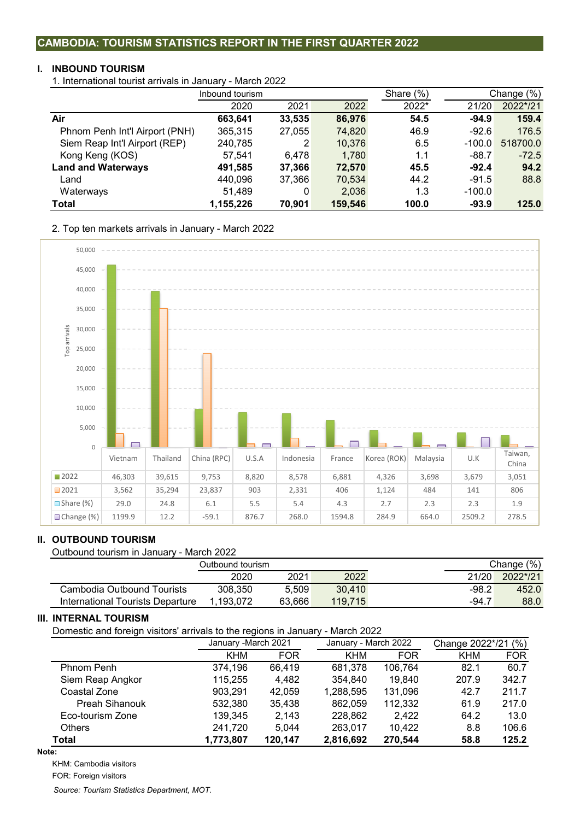## **CAMBODIA: TOURISM STATISTICS REPORT IN THE FIRST QUARTER 2022**

### **I. INBOUND TOURISM**

1. International tourist arrivals in January - March 2022

|                                | Inbound tourism |        |         | Share (%) |          | Change (%) |  |
|--------------------------------|-----------------|--------|---------|-----------|----------|------------|--|
|                                | 2020            | 2021   | 2022    | 2022*     | 21/20    | 2022*/21   |  |
| Air                            | 663,641         | 33,535 | 86,976  | 54.5      | $-94.9$  | 159.4      |  |
| Phnom Penh Int'l Airport (PNH) | 365,315         | 27,055 | 74,820  | 46.9      | $-92.6$  | 176.5      |  |
| Siem Reap Int'l Airport (REP)  | 240,785         | 2      | 10,376  | 6.5       | $-100.0$ | 518700.0   |  |
| Kong Keng (KOS)                | 57,541          | 6.478  | 1,780   | 1.1       | $-88.7$  | $-72.5$    |  |
| <b>Land and Waterways</b>      | 491,585         | 37,366 | 72,570  | 45.5      | $-92.4$  | 94.2       |  |
| Land                           | 440,096         | 37,366 | 70,534  | 44.2      | $-91.5$  | 88.8       |  |
| Waterways                      | 51,489          | 0      | 2,036   | 1.3       | $-100.0$ |            |  |
| Total                          | 1,155,226       | 70,901 | 159,546 | 100.0     | $-93.9$  | 125.0      |  |

2. Top ten markets arrivals in January - March 2022



### **II. OUTBOUND TOURISM**

Outbound tourism in January - March 2022

|                                  | Outbound tourism |        |         |         | (% )<br>Change |
|----------------------------------|------------------|--------|---------|---------|----------------|
|                                  | 2020             | 2021   | 2022    | 21/20   | 2022*/21       |
| Cambodia Outbound Tourists       | 308.350          | 5.509  | 30.410  | $-98.2$ | 452.0          |
| International Tourists Departure | .193.072         | 63.666 | 119.715 | $-94.7$ | 88.0           |

### **III. INTERNAL TOURISM**

Domestic and foreign visitors' arrivals to the regions in January - March 2022

|                       | January - March 2021 |            | January - March 2022 |            | (% )<br>Change 2022*/21 |            |  |
|-----------------------|----------------------|------------|----------------------|------------|-------------------------|------------|--|
|                       | KHM                  | <b>FOR</b> | <b>KHM</b>           | <b>FOR</b> | <b>KHM</b>              | <b>FOR</b> |  |
| Phnom Penh            | 374,196              | 66,419     | 681.378              | 106.764    | 82.1                    | 60.7       |  |
| Siem Reap Angkor      | 115,255              | 4,482      | 354,840              | 19,840     | 207.9                   | 342.7      |  |
| Coastal Zone          | 903.291              | 42,059     | 1,288,595            | 131,096    | 42.7                    | 211.7      |  |
| <b>Preah Sihanouk</b> | 532,380              | 35,438     | 862,059              | 112,332    | 61.9                    | 217.0      |  |
| Eco-tourism Zone      | 139,345              | 2,143      | 228,862              | 2.422      | 64.2                    | 13.0       |  |
| <b>Others</b>         | 241,720              | 5.044      | 263,017              | 10,422     | 8.8                     | 106.6      |  |
| Total                 | 1,773,807            | 120,147    | 2,816,692            | 270,544    | 58.8                    | 125.2      |  |

**Note:**

KHM: Cambodia visitors

FOR: Foreign visitors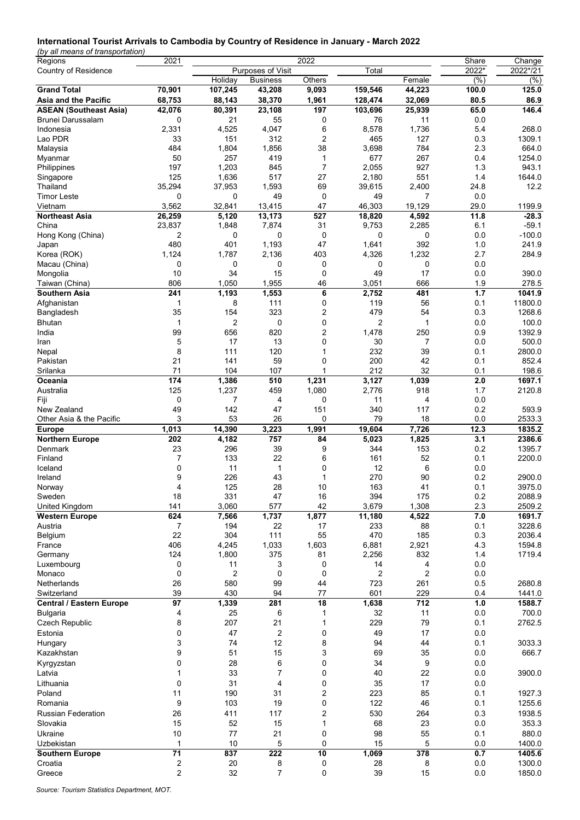### **International Tourist Arrivals to Cambodia by Country of Residence in January - March 2022**

*(by all means of transportation)*

| Regions                          | 2021                |                |                   | 2022           |               |                  | Share      | Change           |
|----------------------------------|---------------------|----------------|-------------------|----------------|---------------|------------------|------------|------------------|
| Country of Residence             |                     |                | Purposes of Visit |                | Total         |                  | 2022*      | 2022*/21         |
|                                  |                     | Holiday        | <b>Business</b>   | Others         |               | Female           | (%)        | (%)              |
| <b>Grand Total</b>               | 70,901              | 107,245        | 43,208            | 9,093          | 159,546       | 44,223           | 100.0      | 125.0            |
| Asia and the Pacific             | 68,753              | 88,143         | 38,370            | 1,961          | 128,474       | 32,069           | 80.5       | 86.9             |
| <b>ASEAN (Southeast Asia)</b>    | 42,076              | 80,391         | 23,108            | 197            | 103,696       | 25,939           | 65.0       | 146.4            |
| Brunei Darussalam                | 0                   | 21             | 55                | 0              | 76            | 11               | 0.0        |                  |
| Indonesia                        | 2,331               | 4,525          | 4,047             | 6              | 8,578         | 1,736            | 5.4        | 268.0            |
| Lao PDR                          | 33                  | 151            | 312               | $\overline{c}$ | 465           | 127              | 0.3        | 1309.1           |
| Malaysia                         | 484                 | 1,804          | 1,856             | 38             | 3,698         | 784              | 2.3        | 664.0            |
| Myanmar                          | 50                  | 257            | 419               | 1              | 677           | 267              | 0.4        | 1254.0           |
| Philippines                      | 197                 | 1,203          | 845               | 7              | 2,055         | 927              | 1.3        | 943.1            |
| Singapore                        | 125                 | 1,636          | 517               | 27             | 2,180         | 551              | 1.4        | 1644.0           |
| Thailand                         | 35,294              | 37,953         | 1,593             | 69             | 39,615        | 2,400            | 24.8       | 12.2             |
| <b>Timor Leste</b>               | 0                   | 0              | 49                | 0              | 49            | $\overline{7}$   | 0.0        |                  |
| Vietnam                          | 3,562               | 32,841         | 13,415            | 47             | 46,303        | 19,129           | 29.0       | 1199.9           |
| <b>Northeast Asia</b>            | 26,259              | 5,120          | 13,173            | 527            | 18,820        | 4,592            | 11.8       | $-28.3$          |
| China                            | 23,837              | 1,848          | 7,874             | 31             | 9,753         | 2,285            | 6.1        | $-59.1$          |
| Hong Kong (China)                | 2                   | 0              | 0                 | 0              | 0             | 0                | 0.0        | $-100.0$         |
| Japan                            | 480                 | 401            | 1,193             | 47             | 1,641         | 392              | 1.0        | 241.9            |
| Korea (ROK)                      | 1,124               | 1,787          | 2,136             | 403            | 4,326         | 1,232            | 2.7        | 284.9            |
| Macau (China)                    | 0                   | 0              | 0                 | 0              | 0             | 0                | 0.0        |                  |
| Mongolia                         | 10                  | 34             | 15                | 0              | 49            | 17               | 0.0        | 390.0            |
| Taiwan (China)                   | 806                 | 1,050          | 1,955             | 46             | 3,051         | 666              | 1.9        | 278.5            |
| <b>Southern Asia</b>             | 241                 | 1,193          | 1,553             | 6              | 2,752         | 481              | 1.7        | 1041.9           |
| Afghanistan                      | 1                   | 8              | 111               | 0              | 119           | 56               | 0.1        | 11800.0          |
| Bangladesh                       | 35                  | 154            | 323               | 2              | 479           | 54               | 0.3        | 1268.6           |
| Bhutan                           | 1                   | 2              | 0                 | 0              | 2             | 1                | 0.0        | 100.0            |
| India                            | 99                  | 656            | 820               | 2              | 1,478         | 250              | 0.9        | 1392.9           |
| Iran                             | 5                   | 17             | 13                | 0              | 30            | $\overline{7}$   | 0.0        | 500.0            |
| Nepal                            | 8                   | 111            | 120               | 1              | 232           | 39               | 0.1        | 2800.0           |
| Pakistan                         | 21                  | 141            | 59                | 0              | 200           | 42               | 0.1        | 852.4            |
| Srilanka                         | 71                  | 104            | 107               | 1              | 212           | 32               | 0.1        | 198.6            |
| Oceania                          | 174                 | 1,386          | 510               | 1,231          | 3,127         | 1,039            | 2.0        | 1697.1           |
| Australia                        | 125                 | 1,237          | 459               | 1,080          | 2,776         | 918              | 1.7        | 2120.8           |
| Fiji                             | 0                   | 7              | 4                 | 0              | 11            | 4                | 0.0        |                  |
| New Zealand                      | 49                  | 142            | 47                | 151            | 340           | 117              | 0.2        | 593.9            |
| Other Asia & the Pacific         | 3                   | 53             | 26                | 0              | 79            | 18               | 0.0        | 2533.3           |
| <b>Europe</b>                    | 1,013               | 14,390         | 3,223             | 1,991          | 19,604        | 7,726            | 12.3       | 1835.2           |
| <b>Northern Europe</b>           | 202                 | 4,182          | 757               | 84             | 5,023         | 1,825            | 3.1        | 2386.6           |
| Denmark                          | 23                  | 296            | 39                | 9              | 344           | 153              | 0.2        | 1395.7           |
| Finland                          | 7                   | 133            | 22                | 6              | 161           | 52               | 0.1        | 2200.0           |
| Iceland                          |                     |                |                   |                | 12            | 6                | 0.0        |                  |
|                                  | 0                   | 11             | 1                 | 0              |               |                  |            | 2900.0           |
| Ireland                          | 9                   | 226            | 43                | 1              | 270           | 90               |            |                  |
|                                  | 4                   | 125            | 28                | 10             | 163           | 41               | 0.2<br>0.1 | 3975.0           |
| Norway                           |                     |                |                   |                |               |                  |            |                  |
| Sweden                           | 18                  | 331            | 47                | 16             | 394           | 175              | 0.2        | 2088.9           |
| United Kingdom                   | 141                 | 3,060          | 577               | 42             | 3,679         | 1,308            | 2.3        | 2509.2           |
| <b>Western Europe</b><br>Austria | 624<br>7            | 7,566<br>194   | 1,737<br>22       | 1,877<br>17    | 11,180<br>233 | 4,522            | 7.0        | 1691.7           |
|                                  | 22                  | 304            | 111               |                |               | 88               | 0.1        | 3228.6           |
| Belgium<br>France                |                     |                |                   | 55             | 470           | 185              | 0.3        | 2036.4<br>1594.8 |
|                                  | 406                 | 4,245          | 1,033             | 1,603          | 6,881         | 2,921            | 4.3        |                  |
| Germany                          | 124                 | 1,800          | 375               | 81             | 2,256         | 832              | 1.4        | 1719.4           |
| Luxembourg                       | 0                   | 11             | 3                 | 0              | 14            | 4                | 0.0        |                  |
| Monaco<br>Netherlands            | 0                   | $\overline{c}$ | $\mathbf 0$       | 0              | 2             | $\overline{2}$   | 0.0        |                  |
| Switzerland                      | 26<br>39            | 580<br>430     | 99<br>94          | 44<br>77       | 723<br>601    | 261<br>229       | 0.5<br>0.4 | 2680.8           |
|                                  |                     |                |                   |                |               | 712              | 1.0        | 1441.0           |
| <b>Central / Eastern Europe</b>  | 97                  | 1,339          | 281               | 18             | 1,638         |                  |            | 1588.7           |
| <b>Bulgaria</b>                  | 4                   | 25             | 6                 | 1              | 32            | 11               | 0.0        | 700.0            |
| <b>Czech Republic</b>            | 8                   | 207            | 21                | $\mathbf{1}$   | 229           | 79               | 0.1        | 2762.5           |
| Estonia                          | 0                   | 47             | 2                 | 0              | 49            | 17               | 0.0        |                  |
| Hungary                          | 3                   | 74             | 12                | 8              | 94            | 44               | 0.1        | 3033.3           |
| Kazakhstan                       | 9                   | 51             | 15                | 3              | 69            | 35               | 0.0        | 666.7            |
| Kyrgyzstan                       | 0                   | 28             | 6                 | 0              | 34            | 9                | 0.0        |                  |
| Latvia                           | 1                   | 33             | 7                 | 0              | 40            | 22               | 0.0        | 3900.0           |
| Lithuania                        | 0                   | 31             | 4                 | 0              | 35            | 17               | 0.0        |                  |
| Poland                           | 11                  | 190            | 31                | 2              | 223           | 85               | 0.1        | 1927.3           |
| Romania                          | 9                   | 103            | 19                | 0              | 122           | 46               | 0.1        | 1255.6           |
| <b>Russian Federation</b>        | 26                  | 411            | 117               | 2              | 530           | 264              | 0.3        | 1938.5           |
| Slovakia                         | 15                  | 52             | 15                | 1              | 68            | 23               | 0.0        | 353.3            |
| Ukraine                          | 10                  | 77             | 21                | 0              | 98            | 55               | 0.1        | 880.0            |
| Uzbekistan                       | 1                   | 10             | 5                 | 0              | 15            | 5                | 0.0        | 1400.0           |
| <b>Southern Europe</b>           | 71                  | 837            | 222               | 10             | 1,069         | $\overline{378}$ | 0.7        | 1405.6           |
| Croatia<br>Greece                | 2<br>$\overline{c}$ | 20<br>32       | 8<br>7            | 0<br>0         | 28<br>39      | 8<br>15          | 0.0<br>0.0 | 1300.0<br>1850.0 |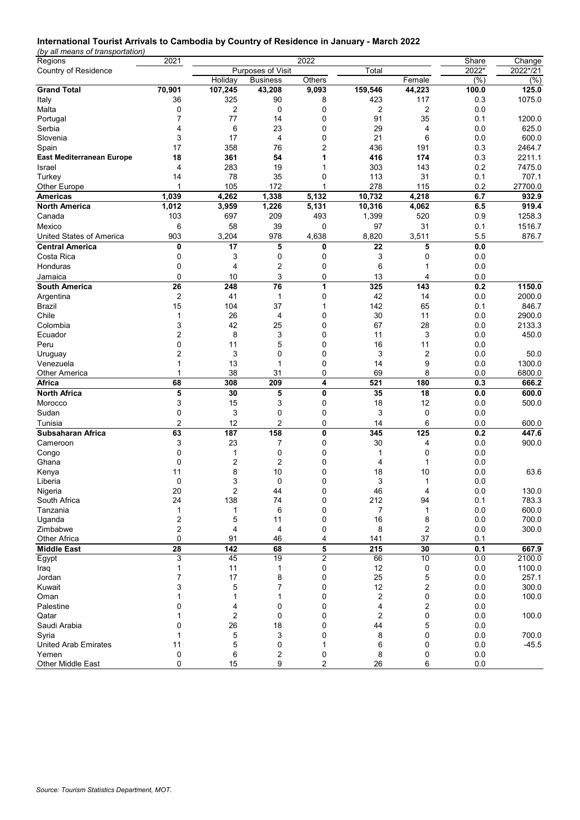### **International Tourist Arrivals to Cambodia by Country of Residence in January - March 2022**

*(by all means of transportation)*

| Regions                                 | 2021           |              |                   | 2022         |          |                | Share      | Change           |
|-----------------------------------------|----------------|--------------|-------------------|--------------|----------|----------------|------------|------------------|
| Country of Residence                    |                |              | Purposes of Visit |              | Total    |                | 2022*      | 2022*/21         |
|                                         |                | Holiday      | <b>Business</b>   | Others       |          | Female         | (%)        | $\sqrt{(26)}$    |
| <b>Grand Total</b>                      | 70,901         | 107,245      | 43,208            | 9,093        | 159,546  | 44,223         | 100.0      | 125.0            |
| Italy                                   | 36             | 325          | 90                | 8            | 423      | 117            | 0.3        | 1075.0           |
| Malta                                   | 0              | 2            | 0                 | 0            | 2        | $\overline{2}$ | 0.0        |                  |
| Portugal                                | 7              | 77           | 14                | 0            | 91       | 35             | 0.1        | 1200.0           |
| Serbia                                  | 4              | 6            | 23                | 0            | 29       | 4              | 0.0        | 625.0            |
| Slovenia                                | 3              | 17           | $\overline{4}$    | 0            | 21       | 6              | 0.0        | 600.0            |
| Spain                                   | 17             | 358          | 76                | 2            | 436      | 191            | 0.3        | 2464.7           |
| <b>East Mediterranean Europe</b>        | 18             | 361          | 54                | 1            | 416      | 174            | 0.3        | 2211.1           |
| Israel                                  | 4              | 283          | 19                |              | 303      | 143            | 0.2        | 7475.0           |
| Turkey                                  | 14<br>1        | 78           | 35                | 0            | 113      | 31             | 0.1        | 707.1            |
| Other Europe                            |                | 105          | 172               | 1            | 278      | 115            | 0.2        | 27700.0          |
| <b>Americas</b><br><b>North America</b> | 1,039<br>1,012 | 4,262        | 1,338             | 5,132        | 10,732   | 4,218          | 6.7        | 932.9<br>919.4   |
|                                         |                | 3,959<br>697 | 1,226<br>209      | 5,131<br>493 | 10,316   | 4,062          | 6.5        | 1258.3           |
| Canada<br>Mexico                        | 103            |              |                   |              | 1,399    | 520            | 0.9        |                  |
|                                         | 6<br>903       | 58           | 39<br>978         | 0            | 97       | 31             | 0.1<br>5.5 | 1516.7           |
| United States of America                |                | 3,204        |                   | 4,638        | 8,820    | 3,511          |            | 876.7            |
| <b>Central America</b><br>Costa Rica    | 0              | 17           | 5                 | 0            | 22       | 5              | 0.0        |                  |
|                                         | 0              | 3            | 0                 | 0            | 3        | 0              | 0.0        |                  |
| Honduras                                | 0              | 4            | 2                 | 0            | 6        |                | 0.0        |                  |
| Jamaica                                 | 0              | 10           | 3                 | 0            | 13       | 4              | 0.0        |                  |
| South America                           | 26             | 248          | 76                | 1            | 325      | 143            | 0.2        | 1150.0           |
| Argentina                               | 2              | 41           | $\mathbf{1}$      | 0            | 42       | 14             | 0.0        | 2000.0           |
| <b>Brazil</b>                           | 15             | 104          | 37                | 1            | 142      | 65             | 0.1        | 846.7            |
| Chile                                   | 1<br>3         | 26<br>42     | 4                 | 0<br>0       | 30<br>67 | 11<br>28       | 0.0<br>0.0 | 2900.0<br>2133.3 |
| Colombia<br>Ecuador                     | 2              | 8            | 25<br>3           | 0            | 11       | 3              | 0.0        | 450.0            |
| Peru                                    | 0              | 11           | 5                 | 0            | 16       | 11             | 0.0        |                  |
| Uruguay                                 | $\overline{2}$ | 3            | $\Omega$          | 0            | 3        | 2              | 0.0        | 50.0             |
| Venezuela                               | 1              | 13           | 1                 | 0            | 14       | 9              | 0.0        | 1300.0           |
| <b>Other America</b>                    | 1              | 38           | 31                | 0            | 69       | 8              | 0.0        | 6800.0           |
| Africa                                  | 68             | 308          | 209               | 4            | 521      | 180            | 0.3        | 666.2            |
| <b>North Africa</b>                     | 5              | 30           | 5                 | 0            | 35       | 18             | 0.0        | 600.0            |
| Morocco                                 | 3              | 15           | 3                 | 0            | 18       | 12             | 0.0        | 500.0            |
| Sudan                                   | 0              | 3            | 0                 | 0            | 3        | 0              | 0.0        |                  |
| Tunisia                                 | 2              | 12           | 2                 | 0            | 14       | 6              | 0.0        | 600.0            |
| Subsaharan Africa                       | 63             | 187          | 158               | 0            | 345      | 125            | 0.2        | 447.6            |
| Cameroon                                | 3              | 23           | 7                 | 0            | 30       | 4              | 0.0        | 900.0            |
| Congo                                   | 0              | 1            | 0                 | 0            | 1        | 0              | 0.0        |                  |
| Ghana                                   | 0              | 2            | 2                 | 0            | 4        | 1              | 0.0        |                  |
| Kenya                                   | 11             | 8            | 10                | 0            | 18       | 10             | 0.0        | 63.6             |
| Liberia                                 | $\mathbf 0$    | 3            | $\mathbf 0$       | 0            | 3        | 1              | 0.0        |                  |
| Nigeria                                 | 20             | 2            | 44                |              | 46       | Δ              | 0.0        | 130.0            |
| South Africa                            | 24             | 138          | 74                | 0            | 212      | 94             | 0.1        | 783.3            |
| Tanzania                                | 1              | 1            | 6                 | 0            | 7        | $\mathbf{1}$   | $0.0\,$    | 600.0            |
| Uganda                                  | 2              | 5            | 11                | 0            | 16       | 8              | 0.0        | 700.0            |
| Zimbabwe                                | 2              | 4            | 4                 | 0            | 8        | 2              | 0.0        | 300.0            |
| Other Africa                            | 0              | 91           | 46                | 4            | 141      | 37             | 0.1        |                  |
| <b>Middle East</b>                      | 28             | 142          | 68                | 5            | 215      | 30             | 0.1        | 667.9            |
| Egypt                                   | 3              | 45           | 19                | 2            | 66       | 10             | 0.0        | 2100.0           |
| Iraq                                    | 1              | 11           | 1                 | 0            | 12       | 0              | 0.0        | 1100.0           |
| Jordan                                  | 7              | 17           | 8                 | 0            | 25       | 5              | 0.0        | 257.1            |
| Kuwait                                  | 3              | 5            | 7                 | 0            | 12       | 2              | 0.0        | 300.0            |
| Oman                                    | 1              | 1            |                   | 0            | 2        | 0              | $0.0\,$    | 100.0            |
| Palestine                               | 0              | 4            | 0                 | 0            | 4        | 2              | 0.0        |                  |
| Qatar                                   |                | 2            | 0                 | 0            | 2        | 0              | 0.0        | 100.0            |
| Saudi Arabia                            | 0              | 26           | 18                | 0            | 44       | 5              | 0.0        |                  |
| Syria                                   |                | 5            | 3                 | 0            | 8        | 0              | 0.0        | 700.0            |
| <b>United Arab Emirates</b>             | 11             | 5            | 0                 | 1            | 6        | 0              | 0.0        | $-45.5$          |
| Yemen                                   | 0              | 6            | 2                 | 0            | 8        | 0              | 0.0        |                  |
| Other Middle East                       | 0              | 15           | 9                 | 2            | 26       | 6              | 0.0        |                  |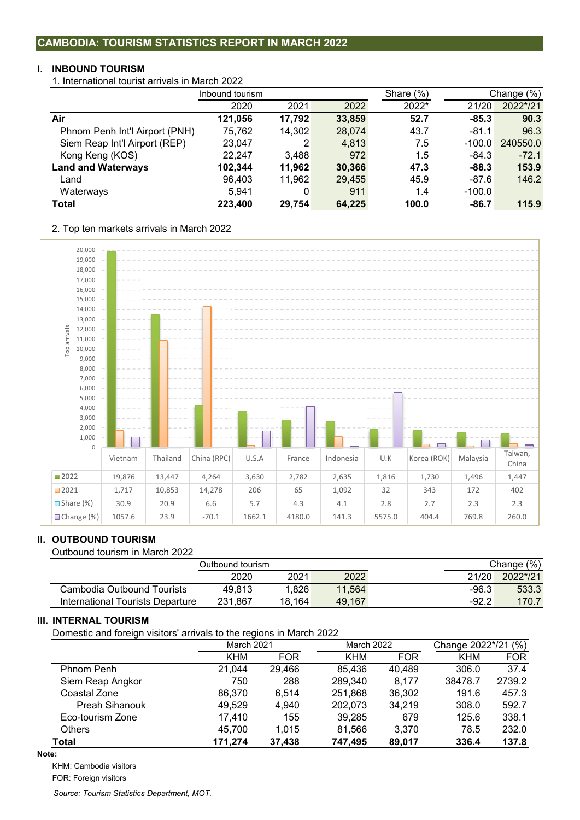### **I. INBOUND TOURISM**

1. International tourist arrivals in March 2022

|                                | Inbound tourism |        |        | Share $(\%)$ |          | Change (%) |  |
|--------------------------------|-----------------|--------|--------|--------------|----------|------------|--|
|                                | 2020            | 2021   | 2022   | 2022*        | 21/20    | 2022*/21   |  |
| Air                            | 121,056         | 17,792 | 33,859 | 52.7         | $-85.3$  | 90.3       |  |
| Phnom Penh Int'l Airport (PNH) | 75,762          | 14,302 | 28,074 | 43.7         | $-81.1$  | 96.3       |  |
| Siem Reap Int'l Airport (REP)  | 23,047          | 2      | 4,813  | 7.5          | $-100.0$ | 240550.0   |  |
| Kong Keng (KOS)                | 22.247          | 3,488  | 972    | 1.5          | $-84.3$  | $-72.1$    |  |
| <b>Land and Waterways</b>      | 102,344         | 11.962 | 30,366 | 47.3         | $-88.3$  | 153.9      |  |
| Land                           | 96,403          | 11,962 | 29,455 | 45.9         | $-87.6$  | 146.2      |  |
| Waterways                      | 5,941           | 0      | 911    | 1.4          | $-100.0$ |            |  |
| Total                          | 223,400         | 29,754 | 64,225 | 100.0        | $-86.7$  | 115.9      |  |

2. Top ten markets arrivals in March 2022



## **II. OUTBOUND TOURISM**

Outbound tourism in March 2022

| Outbound tourism                 |         | Change (%) |        |         |          |
|----------------------------------|---------|------------|--------|---------|----------|
|                                  | 2020    | 2021       | 2022   | 21/20   | 2022*/21 |
| Cambodia Outbound Tourists       | 49.813  | 1.826      | 11.564 | $-96.3$ | 533.3    |
| International Tourists Departure | 231.867 | 18.164     | 49.167 | $-92.2$ | 170.7    |

## **III. INTERNAL TOURISM**

Domestic and foreign visitors' arrivals to the regions in March 2022

|                       | <b>March 2021</b> |            | <b>March 2022</b> |            | Change 2022*/21 (%) |            |  |
|-----------------------|-------------------|------------|-------------------|------------|---------------------|------------|--|
|                       | <b>KHM</b>        | <b>FOR</b> | <b>KHM</b>        | <b>FOR</b> | <b>KHM</b>          | <b>FOR</b> |  |
| <b>Phnom Penh</b>     | 21,044            | 29,466     | 85,436            | 40,489     | 306.0               | 37.4       |  |
| Siem Reap Angkor      | 750               | 288        | 289,340           | 8.177      | 38478.7             | 2739.2     |  |
| Coastal Zone          | 86,370            | 6.514      | 251,868           | 36,302     | 191.6               | 457.3      |  |
| <b>Preah Sihanouk</b> | 49,529            | 4.940      | 202,073           | 34,219     | 308.0               | 592.7      |  |
| Eco-tourism Zone      | 17,410            | 155        | 39,285            | 679        | 125.6               | 338.1      |  |
| <b>Others</b>         | 45.700            | 1.015      | 81,566            | 3.370      | 78.5                | 232.0      |  |
| <b>Total</b>          | 171,274           | 37,438     | 747,495           | 89,017     | 336.4               | 137.8      |  |

**Note:**

KHM: Cambodia visitors

FOR: Foreign visitors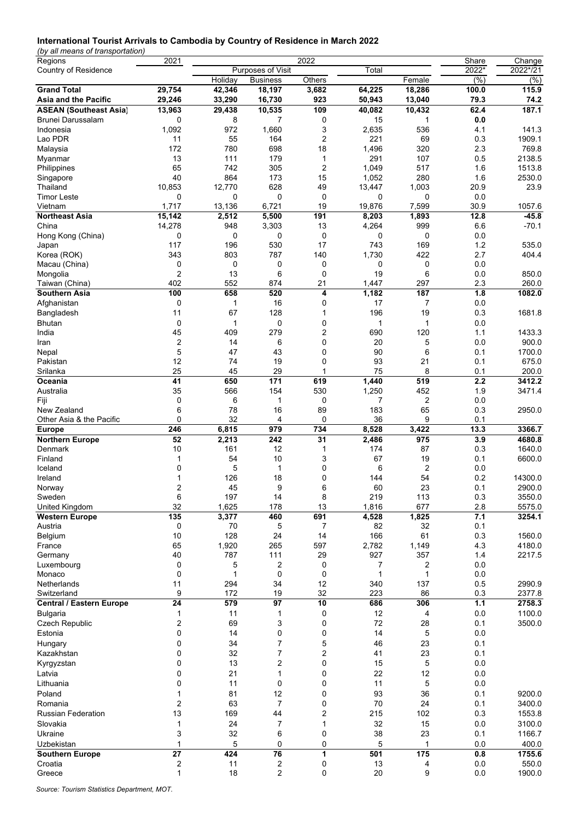### **International Tourist Arrivals to Cambodia by Country of Residence in March 2022**

*(by all means of transportation)*

| Regions                         | 2021              |          |                   | 2022   |             |                | Share         | Change          |
|---------------------------------|-------------------|----------|-------------------|--------|-------------|----------------|---------------|-----------------|
| Country of Residence            |                   |          | Purposes of Visit |        | Total       |                | 2022*         | 2022*/21        |
|                                 |                   | Holiday  | <b>Business</b>   | Others |             | Female         | $\sqrt{(26)}$ | (% )            |
| <b>Grand Total</b>              | 29,754            | 42,346   | 18,197            | 3,682  | 64,225      | 18,286         | 100.0         | 115.9           |
| Asia and the Pacific            | 29,246            | 33,290   | 16,730            | 923    | 50,943      | 13,040         | 79.3          | 74.2            |
| <b>ASEAN (Southeast Asia)</b>   | 13,963            | 29,438   | 10,535            | 109    | 40,082      | 10,432         | 62.4          | 187.1           |
| <b>Brunei Darussalam</b>        | 0                 | 8        | $\overline{7}$    | 0      | 15          | 1              | 0.0           |                 |
| Indonesia                       | 1,092             | 972      | 1,660             | 3      | 2,635       | 536            | 4.1           | 141.3           |
| Lao PDR                         | 11                | 55       | 164               |        | 221         | 69             |               | 1909.1          |
|                                 |                   |          |                   | 2      |             |                | 0.3           |                 |
| Malaysia                        | 172               | 780      | 698               | 18     | 1,496       | 320            | 2.3           | 769.8           |
| Myanmar                         | 13                | 111      | 179               | 1      | 291         | 107            | 0.5           | 2138.5          |
| Philippines                     | 65                | 742      | 305               | 2      | 1,049       | 517            | 1.6           | 1513.8          |
| Singapore                       | 40                | 864      | 173               | 15     | 1,052       | 280            | 1.6           | 2530.0          |
| Thailand                        | 10,853            | 12,770   | 628               | 49     | 13,447      | 1,003          | 20.9          | 23.9            |
| <b>Timor Leste</b>              | 0                 | 0        | 0                 | 0      | $\mathbf 0$ | 0              | 0.0           |                 |
| Vietnam                         | 1,717             | 13,136   | 6,721             | 19     | 19,876      | 7,599          | 30.9          | 1057.6          |
| <b>Northeast Asia</b>           | 15,142            | 2,512    | 5,500             | 191    | 8,203       | 1,893          | 12.8          | $-45.8$         |
| China                           | 14,278            | 948      | 3,303             | 13     | 4,264       | 999            | 6.6           | $-70.1$         |
| Hong Kong (China)               | 0                 | 0        | 0                 | 0      | 0           | 0              | 0.0           |                 |
|                                 |                   |          |                   |        |             |                |               | 535.0           |
| Japan                           | 117               | 196      | 530               | 17     | 743         | 169            | 1.2           |                 |
| Korea (ROK)                     | 343               | 803      | 787               | 140    | 1,730       | 422            | 2.7           | 404.4           |
| Macau (China)                   | 0                 | 0        | 0                 | 0      | 0           | 0              | 0.0           |                 |
| Mongolia                        | 2                 | 13       | 6                 | 0      | 19          | 6              | 0.0           | 850.0           |
| Taiwan (China)                  | 402               | 552      | 874               | 21     | 1,447       | 297            | 2.3           | 260.0           |
| Southern Asia                   | 100               | 658      | 520               | 4      | 1,182       | 187            | 1.8           | 1082.0          |
| Afghanistan                     | 0                 | 1        | 16                | 0      | 17          | 7              | 0.0           |                 |
| Bangladesh                      | 11                | 67       | 128               | 1      | 196         | 19             | 0.3           | 1681.8          |
| Bhutan                          | 0                 | 1        | 0                 | 0      | 1           | 1              | 0.0           |                 |
| India                           | 45                | 409      | 279               | 2      | 690         | 120            | 1.1           | 1433.3          |
|                                 |                   |          |                   |        |             |                |               |                 |
| Iran                            | 2                 | 14       | 6                 | 0      | 20          | 5              | 0.0           | 900.0           |
| Nepal                           | 5                 | 47       | 43                | 0      | 90          | 6              | 0.1           | 1700.0          |
| Pakistan                        | 12                | 74       | 19                | 0      | 93          | 21             | 0.1           | 675.0           |
| Srilanka                        | 25                | 45       | 29                | 1      | 75          | 8              | 0.1           | 200.0           |
| Oceania                         | 41                | 650      | 171               | 619    | 1,440       | 519            | 2.2           | 3412.2          |
| Australia                       | 35                | 566      | 154               | 530    | 1,250       | 452            | 1.9           | 3471.4          |
| Fiji                            | 0                 | 6        | 1                 | 0      | 7           | 2              | 0.0           |                 |
| New Zealand                     | 6                 | 78       | 16                | 89     | 183         | 65             | 0.3           | 2950.0          |
| Other Asia & the Pacific        | 0                 | 32       | 4                 | 0      | 36          | 9              | 0.1           |                 |
|                                 | 246               |          | 979               | 734    |             |                | 13.3          | 3366.7          |
| <b>Europe</b>                   |                   | 6,815    |                   |        | 8,528       | 3,422          |               |                 |
| <b>Northern Europe</b>          | 52                | 2,213    | 242               | 31     | 2,486       | 975            | 3.9           | 4680.8          |
| Denmark                         | 10                | 161      | 12                | 1      | 174         | 87             | 0.3           | 1640.0          |
| Finland                         | 1                 | 54       | 10                | 3      | 67          | 19             | 0.1           | 6600.0          |
| Iceland                         | 0                 | 5        | 1                 | 0      | 6           | $\overline{2}$ | 0.0           |                 |
| Ireland                         | 1                 | 126      | 18                | 0      | 144         | 54             | 0.2           | 14300.0         |
| Norway                          |                   |          |                   |        |             |                |               | 2900.0          |
|                                 | 2                 | 45       | 9                 | 6      | 60          | 23             | 0.1           |                 |
|                                 |                   |          |                   |        |             |                |               |                 |
| Sweden                          | 6                 | 197      | 14                | 8      | 219         | 113            | 0.3           | 3550.0          |
| United Kingdom                  | 32                | 1,625    | 178               | 13     | 1,816       | 677            | 2.8           | 5575.0          |
| <b>Western Europe</b>           | $\frac{1}{135}$   | 3,377    | 460               | 691    | 4,528       | 1,825          | 7.1           | 3254.1          |
| Austria                         | 0                 | 70       | 5                 | 7      | 82          | 32             | 0.1           |                 |
| Belgium                         | 10                | 128      | 24                | 14     | 166         | 61             | 0.3           | 1560.0          |
| France                          | 65                | 1,920    | 265               | 597    | 2,782       | 1,149          | 4.3           | 4180.0          |
| Germany                         | 40                | 787      | 111               | 29     | 927         | 357            | 1.4           | 2217.5          |
| Luxembourg                      | 0                 | 5        | 2                 | 0      | 7           | 2              | 0.0           |                 |
| Monaco                          | 0                 | 1        | $\mathbf 0$       | 0      | 1           | 1              | 0.0           |                 |
| Netherlands                     | 11                | 294      | 34                | 12     | 340         | 137            | 0.5           | 2990.9          |
| Switzerland                     | 9                 | 172      | 19                | 32     | 223         | 86             | 0.3           | 2377.8          |
|                                 |                   |          |                   |        |             |                |               |                 |
| <b>Central / Eastern Europe</b> | 24                | 579      | 97                | 10     | 686         | 306            | 1.1           | 2758.3          |
| <b>Bulgaria</b>                 | 1                 | 11       | 1                 | 0      | 12          | 4              | 0.0           | 1100.0          |
| <b>Czech Republic</b>           | 2                 | 69       | 3                 | 0      | 72          | 28             | 0.1           | 3500.0          |
| Estonia                         | 0                 | 14       | 0                 | 0      | 14          | 5              | 0.0           |                 |
| Hungary                         | 0                 | 34       | $\overline{7}$    | 5      | 46          | 23             | 0.1           |                 |
| Kazakhstan                      | 0                 | 32       | 7                 | 2      | 41          | 23             | 0.1           |                 |
| Kyrgyzstan                      | 0                 | 13       | 2                 | 0      | 15          | 5              | 0.0           |                 |
| Latvia                          | 0                 | 21       | 1                 | 0      | 22          |                | 0.0           |                 |
|                                 |                   |          |                   |        |             | 12             |               |                 |
| Lithuania                       | 0                 | 11       | $\mathbf 0$       | 0      | 11          | 5              | 0.0           |                 |
| Poland                          | 1                 | 81       | 12                | 0      | 93          | 36             | 0.1           | 9200.0          |
| Romania                         | 2                 | 63       | $\overline{7}$    | 0      | 70          | 24             | 0.1           | 3400.0          |
| <b>Russian Federation</b>       | 13                | 169      | 44                | 2      | 215         | 102            | 0.3           | 1553.8          |
| Slovakia                        | 1                 | 24       | $\overline{7}$    | 1      | 32          | 15             | 0.0           | 3100.0          |
| Ukraine                         | 3                 | 32       | 6                 | 0      | 38          | 23             | 0.1           | 1166.7          |
| Uzbekistan                      | 1                 | 5        | $\mathbf 0$       | 0      | 5           | 1              | 0.0           | 400.0           |
|                                 |                   |          |                   |        |             |                |               |                 |
| <b>Southern Europe</b>          | 27                | 424      | 76                | 1      | 501         | 175            | 0.8           | 1755.6          |
| Croatia<br>Greece               | 2<br>$\mathbf{1}$ | 11<br>18 | 2<br>2            | 0<br>0 | 13<br>20    | 4<br>9         | 0.0<br>0.0    | 550.0<br>1900.0 |